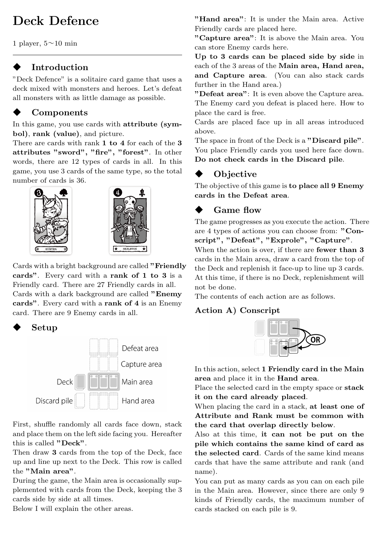# **Deck Defence**

1 player,  $5 \sim 10$  min

## **Introduction**

"Deck Defence" is a solitaire card game that uses a deck mixed with monsters and heroes. Let's defeat all monsters with as little damage as possible.

# ◆ **Components**

In this game, you use cards with **attribute (symbol)**, **rank (value)**, and picture.

There are cards with rank **1 to 4** for each of the **3 attributes "sword", "fire", "forest"**. In other words, there are 12 types of cards in all. In this game, you use 3 cards of the same type, so the total number of cards is 36.





Cards with a bright background are called **"Friendly cards"**. Every card with a **rank of 1 to 3** is a Friendly card. There are 27 Friendly cards in all. Cards with a dark background are called **"Enemy cards"**. Every card with a **rank of 4** is an Enemy card. There are 9 Enemy cards in all.

◆ **Setup**



First, shuffle randomly all cards face down, stack and place them on the left side facing you. Hereafter this is called **"Deck"**.

Then draw **3** cards from the top of the Deck, face up and line up next to the Deck. This row is called the **"Main area"**.

During the game, the Main area is occasionally supplemented with cards from the Deck, keeping the 3 cards side by side at all times.

Below I will explain the other areas.

**"Hand area"**: It is under the Main area. Active Friendly cards are placed here.

**"Capture area"**: It is above the Main area. You can store Enemy cards here.

**Up to 3 cards can be placed side by side** in each of the 3 areas of the **Main area, Hand area, and Capture area**. (You can also stack cards further in the Hand area.)

**"Defeat area"**: It is even above the Capture area. The Enemy card you defeat is placed here. How to place the card is free.

Cards are placed face up in all areas introduced above.

The space in front of the Deck is a **"Discard pile"**. You place Friendly cards you used here face down. **Do not check cards in the Discard pile**.

# ◆ **Objective**

The objective of this game is **to place all 9 Enemy cards in the Defeat area**.

# Game flow

The game progresses as you execute the action. There are 4 types of actions you can choose from: **"Conscript", "Defeat", "Exprole", "Capture"**.

When the action is over, if there are **fewer than 3** cards in the Main area, draw a card from the top of the Deck and replenish it face-up to line up 3 cards. At this time, if there is no Deck, replenishment will not be done.

The contents of each action are as follows.

### **Action A) Conscript**



In this action, select **1 Friendly card in the Main area** and place it in the **Hand area**.

Place the selected card in the empty space or **stack it on the card already placed**.

When placing the card in a stack, **at least one of Attribute and Rank must be common with the card that overlap directly below**.

Also at this time, **it can not be put on the pile which contains the same kind of card as the selected card**. Cards of the same kind means cards that have the same attribute and rank (and name).

You can put as many cards as you can on each pile in the Main area. However, since there are only 9 kinds of Friendly cards, the maximum number of cards stacked on each pile is 9.